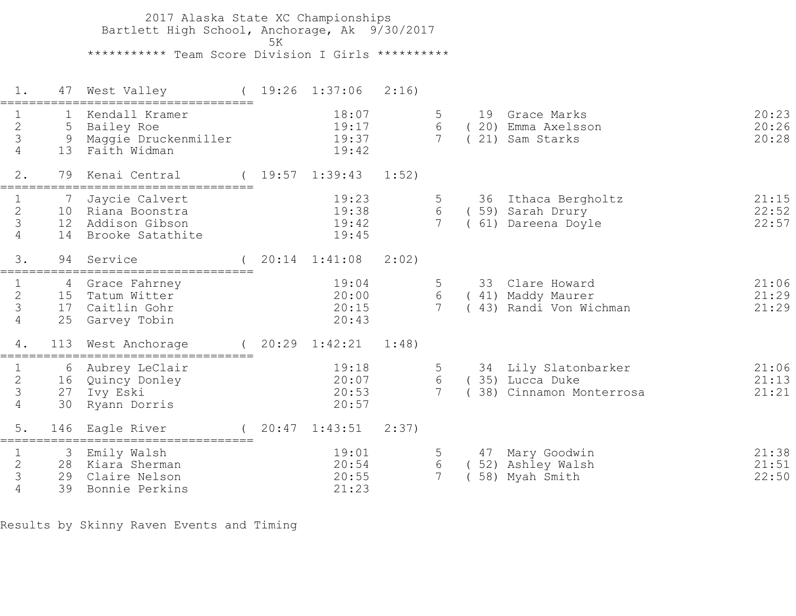2017 Alaska State XC Championships Bartlett High School, Anchorage, Ak 9/30/2017  $5K$  \*\*\*\*\*\*\*\*\*\*\* Team Score Division I Girls \*\*\*\*\*\*\*\*\*\* 1. 47 West Valley ( 19:26 1:37:06 2:16) =================================== 1 1 Kendall Kramer 18:07 5 19 Grace Marks 20:23 2 5 Bailey Roe 19:17 6 ( 20) Emma Axelsson 20:26 3 9 Maggie Druckenmiller 19:37 7 ( 21) Sam Starks 20:28 4 13 Faith Widman 19:42 2. 79 Kenai Central ( 19:57 1:39:43 1:52) =================================== 1 7 Jaycie Calvert 19:23 5 36 Ithaca Bergholtz 21:15 2 10 Riana Boonstra 19:38 6 ( 59) Sarah Drury 22:52 3 12 Addison Gibson 19:42 7 ( 61) Dareena Doyle 22:57 1 1 7 Jaycie Calvert<br>2 10 Riana Boonstra<br>3 12 Addison Gibson<br>4 14 Brooke Satathite 3. 94 Service ( 20:14 1:41:08 2:02) =================================== 1 4 Grace Fahrney 19:04 5 33 Clare Howard 21:06 2 15 Tatum Witter 20:00 6 ( 41) Maddy Maurer 21:29 3 17 Caitlin Gohr 20:15 7 ( 43) Randi Von Wichman 21:29 4 25 Garvey Tobin 20:43 4. 113 West Anchorage ( 20:29 1:42:21 1:48) =================================== 1 6 Aubrey LeClair 19:18 5 34 Lily Slatonbarker 21:06 2 16 Quincy Donley 20:07 6 ( 35) Lucca Duke 21:13 3 27 Ivy Eski 20:53 7 ( 38) Cinnamon Monterrosa 21:21 4 30 Ryann Dorris 20:57 5. 146 Eagle River ( 20:47 1:43:51 2:37) =================================== 1 3 Emily Walsh 19:01 5 47 Mary Goodwin 21:38 2 28 Kiara Sherman 20:54 6 ( 52) Ashley Walsh 21:51 3 29 Claire Nelson 20:55 7 ( 58) Myah Smith 22:50 4 39 Bonnie Perkins 21:23

Results by Skinny Raven Events and Timing